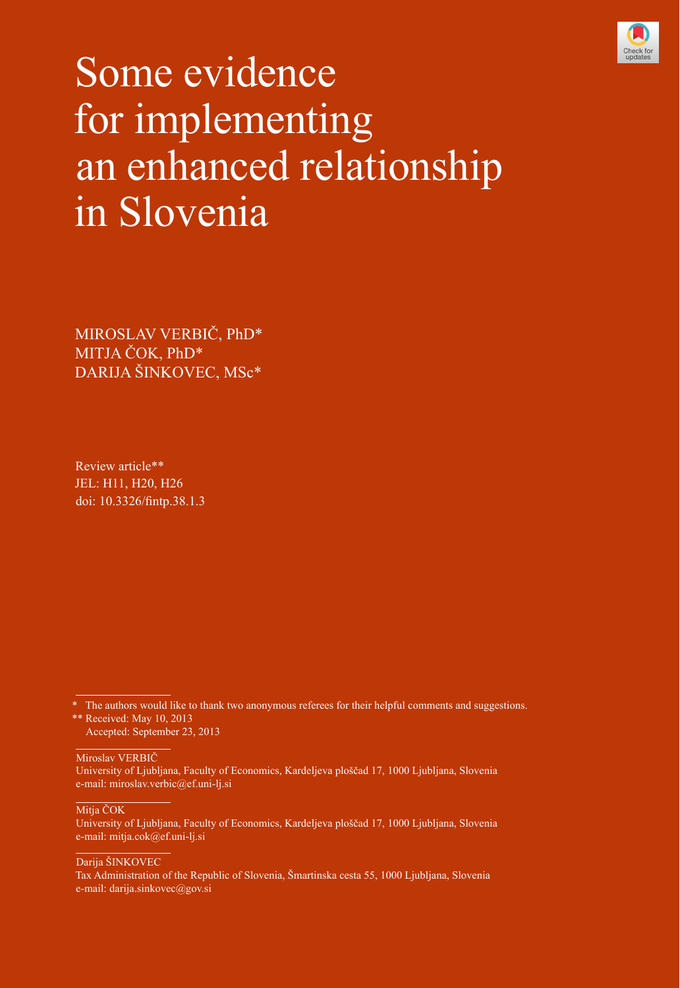

# Some evidence for implementing an enhanced relationship in Slovenia

MIROSLAV VERBIČ, PhD\* MITJA ČOK, PhD\* DARIJA ŠINKOVEC, MSc\*

Review article\*\* JEL: H11, H20, H26 doi: [10.3326/fintp.38.1.3](http://dx.doi.org/10.3326/fintp.38.1.3)

֦ Miroslav VERBIČ

University of Ljubljana, Faculty of Economics, Kardeljeva ploščad 17, 1000 Ljubljana, Slovenia e-mail: miroslav.verbic@ef.uni-lj.si

Mitja ČOK

University of Ljubljana, Faculty of Economics, Kardeljeva ploščad 17, 1000 Ljubljana, Slovenia e-mail: mitja.cok@ef.uni-lj.si

Darija ŠINKOVEC

Tax Administration of the Republic of Slovenia, Šmartinska cesta 55, 1000 Ljubljana, Slovenia e-mail: darija.sinkovec@gov.si

The authors would like to thank two anonymous referees for their helpful comments and suggestions. \*\* Received: May 10, 2013 Accepted: September 23, 2013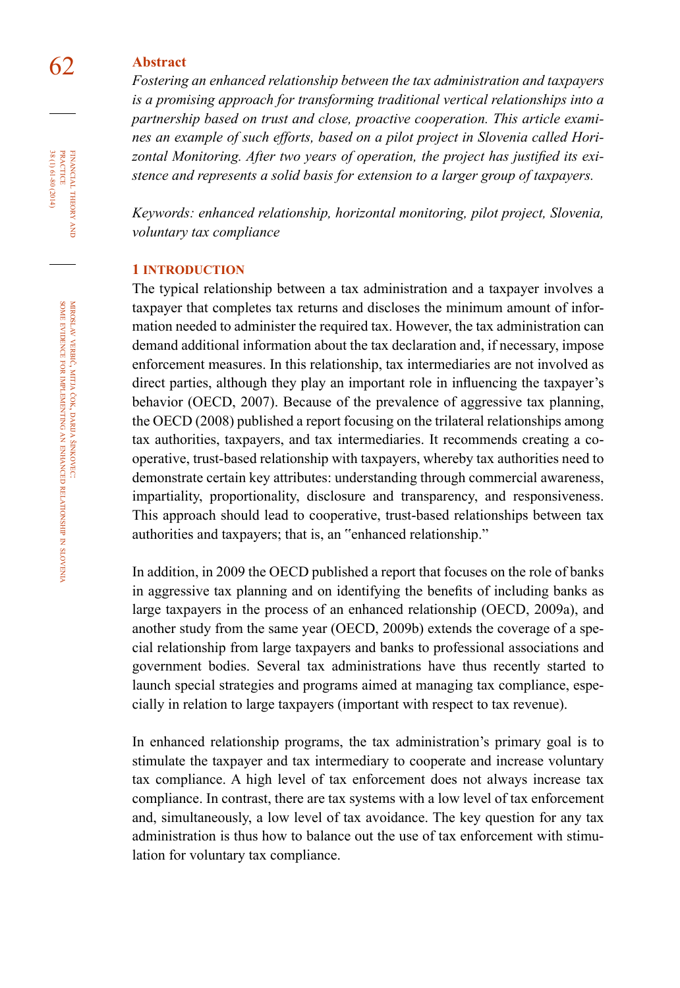# 62 **abstract**

*Fostering an enhanced relationship between the tax administration and taxpayers is a promising approach for transforming traditional vertical relationships into a partnership based on trust and close, proactive cooperation. This article examines an example of such efforts, based on a pilot project in Slovenia called Horizontal Monitoring. After two years of operation, the project has justified its existence and represents a solid basis for extension to a larger group of taxpayers.*

*Keywords: enhanced relationship, horizontal monitoring, pilot project, Slovenia, voluntary tax compliance*

#### **1 introduction**

The typical relationship between a tax administration and a taxpayer involves a taxpayer that completes tax returns and discloses the minimum amount of information needed to administer the required tax. However, the tax administration can demand additional information about the tax declaration and, if necessary, impose enforcement measures. In this relationship, tax intermediaries are not involved as direct parties, although they play an important role in influencing the taxpayer's behavior (OECD, 2007). Because of the prevalence of aggressive tax planning, the OECD (2008) published a report focusing on the trilateral relationships among tax authorities, taxpayers, and tax intermediaries. It recommends creating a cooperative, trust-based relationship with taxpayers, whereby tax authorities need to demonstrate certain key attributes: understanding through commercial awareness, impartiality, proportionality, disclosure and transparency, and responsiveness. This approach should lead to cooperative, trust-based relationships between tax authorities and taxpayers; that is, an "enhanced relationship."

In addition, in 2009 the OECD published a report that focuses on the role of banks in aggressive tax planning and on identifying the benefits of including banks as large taxpayers in the process of an enhanced relationship (OECD, 2009a), and another study from the same year (OECD, 2009b) extends the coverage of a special relationship from large taxpayers and banks to professional associations and government bodies. Several tax administrations have thus recently started to launch special strategies and programs aimed at managing tax compliance, especially in relation to large taxpayers (important with respect to tax revenue).

In enhanced relationship programs, the tax administration's primary goal is to stimulate the taxpayer and tax intermediary to cooperate and increase voluntary tax compliance. A high level of tax enforcement does not always increase tax compliance. In contrast, there are tax systems with a low level of tax enforcement and, simultaneously, a low level of tax avoidance. The key question for any tax administration is thus how to balance out the use of tax enforcement with stimulation for voluntary tax compliance.

FINANCIAL THEORY PRACTICE 38 (1) 61-80 (2014) 38 (1) 61-80 (2014) practice financial theory and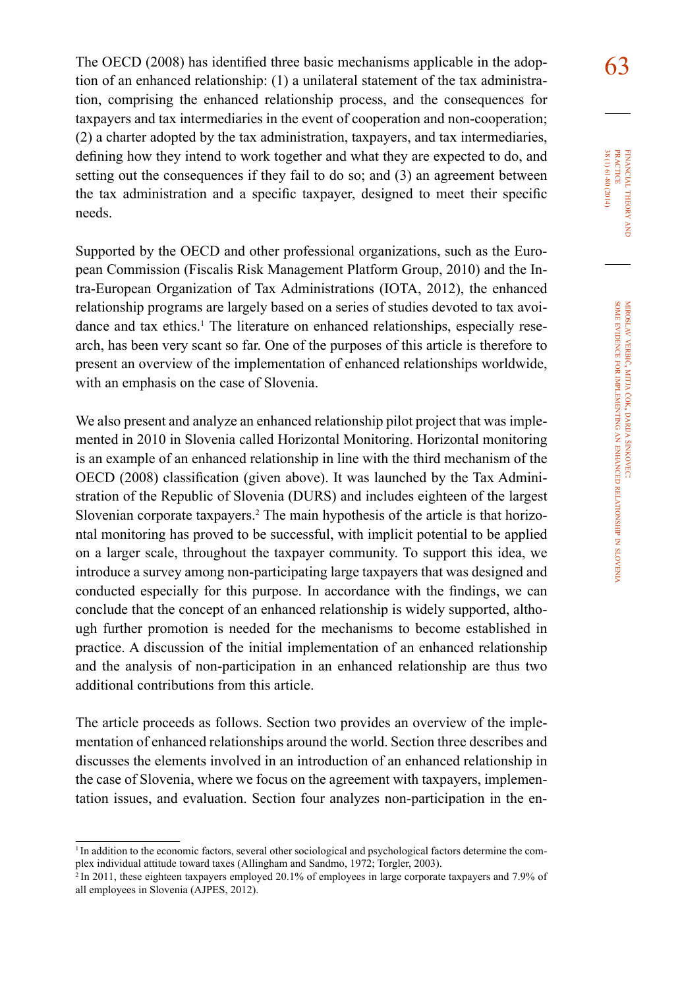The OECD (2008) has identified three basic mechanisms applicable in the adop- $\overline{63}$ tion of an enhanced relationship: (1) a unilateral statement of the tax administration, comprising the enhanced relationship process, and the consequences for taxpayers and tax intermediaries in the event of cooperation and non-cooperation; (2) a charter adopted by the tax administration, taxpayers, and tax intermediaries, defining how they intend to work together and what they are expected to do, and setting out the consequences if they fail to do so; and (3) an agreement between the tax administration and a specific taxpayer, designed to meet their specific needs.

Supported by the OECD and other professional organizations, such as the European Commission (Fiscalis Risk Management Platform Group, 2010) and the Intra-European Organization of Tax Administrations (IOTA, 2012), the enhanced relationship programs are largely based on a series of studies devoted to tax avoidance and tax ethics.<sup>1</sup> The literature on enhanced relationships, especially research, has been very scant so far. One of the purposes of this article is therefore to present an overview of the implementation of enhanced relationships worldwide, with an emphasis on the case of Slovenia.

We also present and analyze an enhanced relationship pilot project that was implemented in 2010 in Slovenia called Horizontal Monitoring. Horizontal monitoring is an example of an enhanced relationship in line with the third mechanism of the OECD (2008) classification (given above). It was launched by the Tax Administration of the Republic of Slovenia (DURS) and includes eighteen of the largest Slovenian corporate taxpayers.<sup>2</sup> The main hypothesis of the article is that horizontal monitoring has proved to be successful, with implicit potential to be applied on a larger scale, throughout the taxpayer community. To support this idea, we introduce a survey among non-participating large taxpayers that was designed and conducted especially for this purpose. In accordance with the findings, we can conclude that the concept of an enhanced relationship is widely supported, although further promotion is needed for the mechanisms to become established in practice. A discussion of the initial implementation of an enhanced relationship and the analysis of non-participation in an enhanced relationship are thus two additional contributions from this article.

The article proceeds as follows. Section two provides an overview of the implementation of enhanced relationships around the world. Section three describes and discusses the elements involved in an introduction of an enhanced relationship in the case of Slovenia, where we focus on the agreement with taxpayers, implementation issues, and evaluation. Section four analyzes non-participation in the en-

<sup>&</sup>lt;sup>1</sup>In addition to the economic factors, several other sociological and psychological factors determine the complex individual attitude toward taxes (Allingham and Sandmo, 1972; Torgler, 2003).

 $^{2}$ In 2011, these eighteen taxpayers employed 20.1% of employees in large corporate taxpayers and 7.9% of all employees in Slovenia (AJPES, 2012).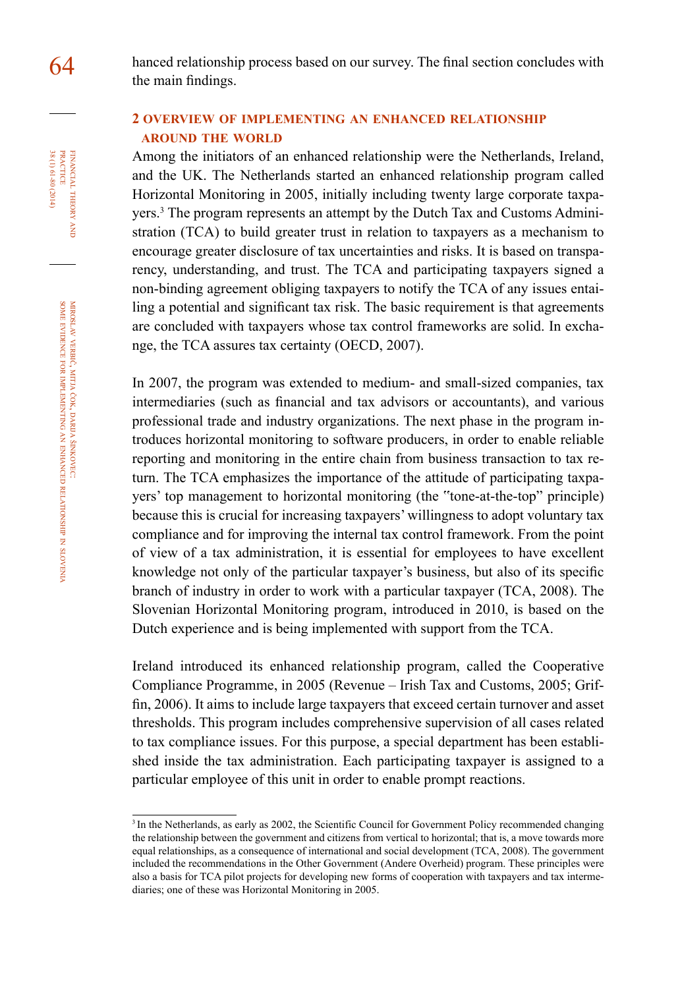FINANCIAL THEORY<br>PRACTICE 38 (1) 61-80 (2014) 38 (1) 61-80 (2014) practice financial theory and

64 hanced relationship process based on our survey. The final section concludes with the main findings.

## **2 overview of implementing an enhanced relationship around the world**

Among the initiators of an enhanced relationship were the Netherlands, Ireland, and the UK. The Netherlands started an enhanced relationship program called Horizontal Monitoring in 2005, initially including twenty large corporate taxpayers.<sup>3</sup> The program represents an attempt by the Dutch Tax and Customs Administration (TCA) to build greater trust in relation to taxpayers as a mechanism to encourage greater disclosure of tax uncertainties and risks. It is based on transparency, understanding, and trust. The TCA and participating taxpayers signed a non-binding agreement obliging taxpayers to notify the TCA of any issues entailing a potential and significant tax risk. The basic requirement is that agreements are concluded with taxpayers whose tax control frameworks are solid. In exchange, the TCA assures tax certainty (OECD, 2007).

In 2007, the program was extended to medium- and small-sized companies, tax intermediaries (such as financial and tax advisors or accountants), and various professional trade and industry organizations. The next phase in the program introduces horizontal monitoring to software producers, in order to enable reliable reporting and monitoring in the entire chain from business transaction to tax return. The TCA emphasizes the importance of the attitude of participating taxpayers' top management to horizontal monitoring (the "tone-at-the-top" principle) because this is crucial for increasing taxpayers' willingness to adopt voluntary tax compliance and for improving the internal tax control framework. From the point of view of a tax administration, it is essential for employees to have excellent knowledge not only of the particular taxpayer's business, but also of its specific branch of industry in order to work with a particular taxpayer (TCA, 2008). The Slovenian Horizontal Monitoring program, introduced in 2010, is based on the Dutch experience and is being implemented with support from the TCA.

Ireland introduced its enhanced relationship program, called the Cooperative Compliance Programme, in 2005 (Revenue – Irish Tax and Customs, 2005; Griffin, 2006). It aims to include large taxpayers that exceed certain turnover and asset thresholds. This program includes comprehensive supervision of all cases related to tax compliance issues. For this purpose, a special department has been established inside the tax administration. Each participating taxpayer is assigned to a particular employee of this unit in order to enable prompt reactions.

<sup>&</sup>lt;sup>3</sup> In the Netherlands, as early as 2002, the Scientific Council for Government Policy recommended changing the relationship between the government and citizens from vertical to horizontal; that is, a move towards more equal relationships, as a consequence of international and social development (TCA, 2008). The government included the recommendations in the Other Government (Andere Overheid) program. These principles were also a basis for TCA pilot projects for developing new forms of cooperation with taxpayers and tax intermediaries; one of these was Horizontal Monitoring in 2005.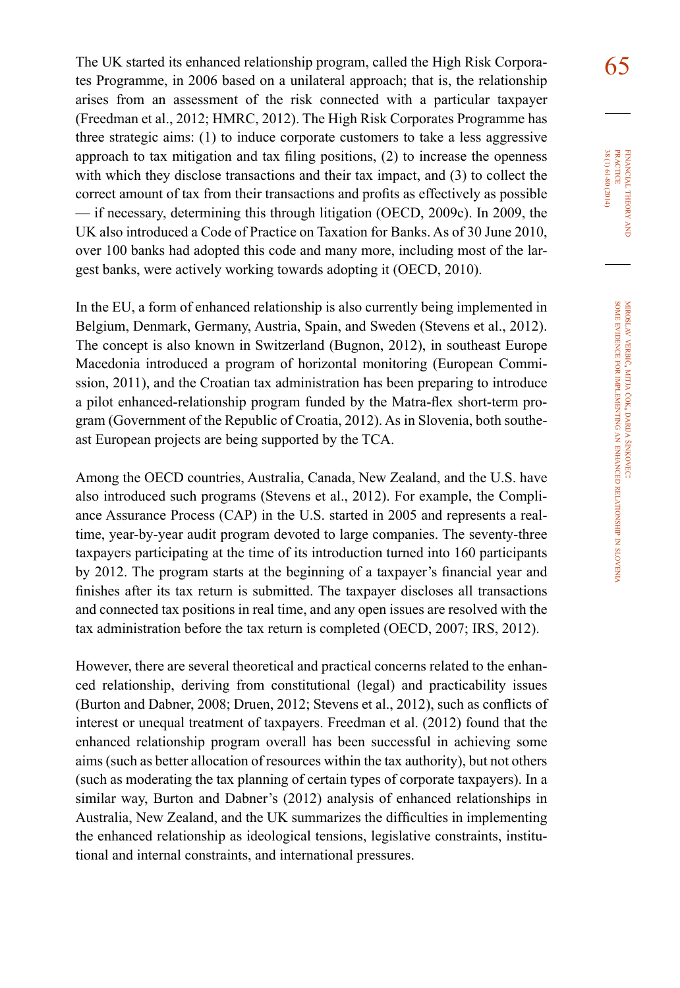The UK started its enhanced relationship program, called the High Risk Corpora- $\overline{65}$ tes Programme, in 2006 based on a unilateral approach; that is, the relationship arises from an assessment of the risk connected with a particular taxpayer (Freedman et al., 2012; HMRC, 2012). The High Risk Corporates Programme has three strategic aims: (1) to induce corporate customers to take a less aggressive approach to tax mitigation and tax filing positions, (2) to increase the openness with which they disclose transactions and their tax impact, and (3) to collect the correct amount of tax from their transactions and profits as effectively as possible — if necessary, determining this through litigation (OECD, 2009c). In 2009, the UK also introduced a Code of Practice on Taxation for Banks. As of 30 June 2010, over 100 banks had adopted this code and many more, including most of the largest banks, were actively working towards adopting it (OECD, 2010).

In the EU, a form of enhanced relationship is also currently being implemented in Belgium, Denmark, Germany, Austria, Spain, and Sweden (Stevens et al., 2012). The concept is also known in Switzerland (Bugnon, 2012), in southeast Europe Macedonia introduced a program of horizontal monitoring (European Commission, 2011), and the Croatian tax administration has been preparing to introduce a pilot enhanced-relationship program funded by the Matra-flex short-term program (Government of the Republic of Croatia, 2012). As in Slovenia, both southeast European projects are being supported by the TCA.

Among the OECD countries, Australia, Canada, New Zealand, and the U.S. have also introduced such programs (Stevens et al., 2012). For example, the Compliance Assurance Process (CAP) in the U.S. started in 2005 and represents a realtime, year-by-year audit program devoted to large companies. The seventy-three taxpayers participating at the time of its introduction turned into 160 participants by 2012. The program starts at the beginning of a taxpayer's financial year and finishes after its tax return is submitted. The taxpayer discloses all transactions and connected tax positions in real time, and any open issues are resolved with the tax administration before the tax return is completed (OECD, 2007; IRS, 2012).

However, there are several theoretical and practical concerns related to the enhanced relationship, deriving from constitutional (legal) and practicability issues (Burton and Dabner, 2008; Druen, 2012; Stevens et al., 2012), such as conflicts of interest or unequal treatment of taxpayers. Freedman et al. (2012) found that the enhanced relationship program overall has been successful in achieving some aims (such as better allocation of resources within the tax authority), but not others (such as moderating the tax planning of certain types of corporate taxpayers). In a similar way, Burton and Dabner's (2012) analysis of enhanced relationships in Australia, New Zealand, and the UK summarizes the difficulties in implementing the enhanced relationship as ideological tensions, legislative constraints, institutional and internal constraints, and international pressures.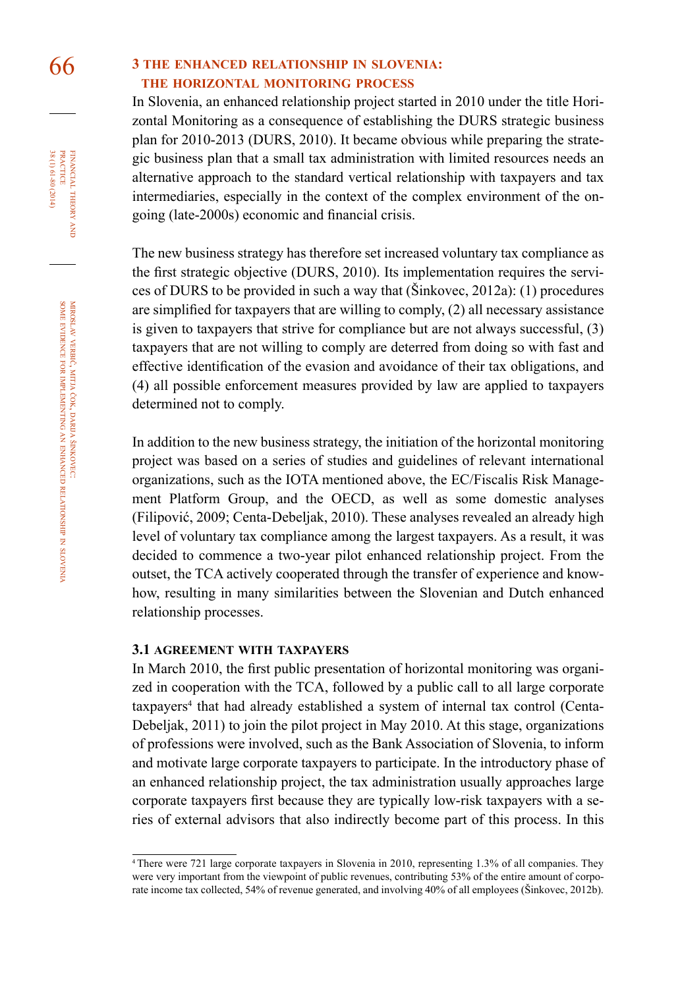FINANCIAL THEORY<br>PRACTICE 38 (1) 61-80 (2014) 38 (1) 61-80 (2014) practice financial theory and

# 66 **3 the enhanced relationship in slovenia: the horizontal monitoring process**

In Slovenia, an enhanced relationship project started in 2010 under the title Horizontal Monitoring as a consequence of establishing the DURS strategic business plan for 2010-2013 (DURS, 2010). It became obvious while preparing the strategic business plan that a small tax administration with limited resources needs an alternative approach to the standard vertical relationship with taxpayers and tax intermediaries, especially in the context of the complex environment of the ongoing (late-2000s) economic and financial crisis.

The new business strategy has therefore set increased voluntary tax compliance as the first strategic objective (DURS, 2010). Its implementation requires the services of DURS to be provided in such a way that (Šinkovec, 2012a): (1) procedures are simplified for taxpayers that are willing to comply, (2) all necessary assistance is given to taxpayers that strive for compliance but are not always successful, (3) taxpayers that are not willing to comply are deterred from doing so with fast and effective identification of the evasion and avoidance of their tax obligations, and (4) all possible enforcement measures provided by law are applied to taxpayers determined not to comply.

In addition to the new business strategy, the initiation of the horizontal monitoring project was based on a series of studies and guidelines of relevant international organizations, such as the IOTA mentioned above, the EC/Fiscalis Risk Management Platform Group, and the OECD, as well as some domestic analyses (Filipović, 2009; Centa-Debeljak, 2010). These analyses revealed an already high level of voluntary tax compliance among the largest taxpayers. As a result, it was decided to commence a two-year pilot enhanced relationship project. From the outset, the TCA actively cooperated through the transfer of experience and knowhow, resulting in many similarities between the Slovenian and Dutch enhanced relationship processes.

#### **3.1 agreement with taxpayers**

In March 2010, the first public presentation of horizontal monitoring was organized in cooperation with the TCA, followed by a public call to all large corporate taxpayers<sup>4</sup> that had already established a system of internal tax control (Centa-Debeljak, 2011) to join the pilot project in May 2010. At this stage, organizations of professions were involved, such as the Bank Association of Slovenia, to inform and motivate large corporate taxpayers to participate. In the introductory phase of an enhanced relationship project, the tax administration usually approaches large corporate taxpayers first because they are typically low-risk taxpayers with a series of external advisors that also indirectly become part of this process. In this

<sup>4</sup> There were 721 large corporate taxpayers in Slovenia in 2010, representing 1.3% of all companies. They were very important from the viewpoint of public revenues, contributing 53% of the entire amount of corporate income tax collected, 54% of revenue generated, and involving 40% of all employees (Šinkovec, 2012b).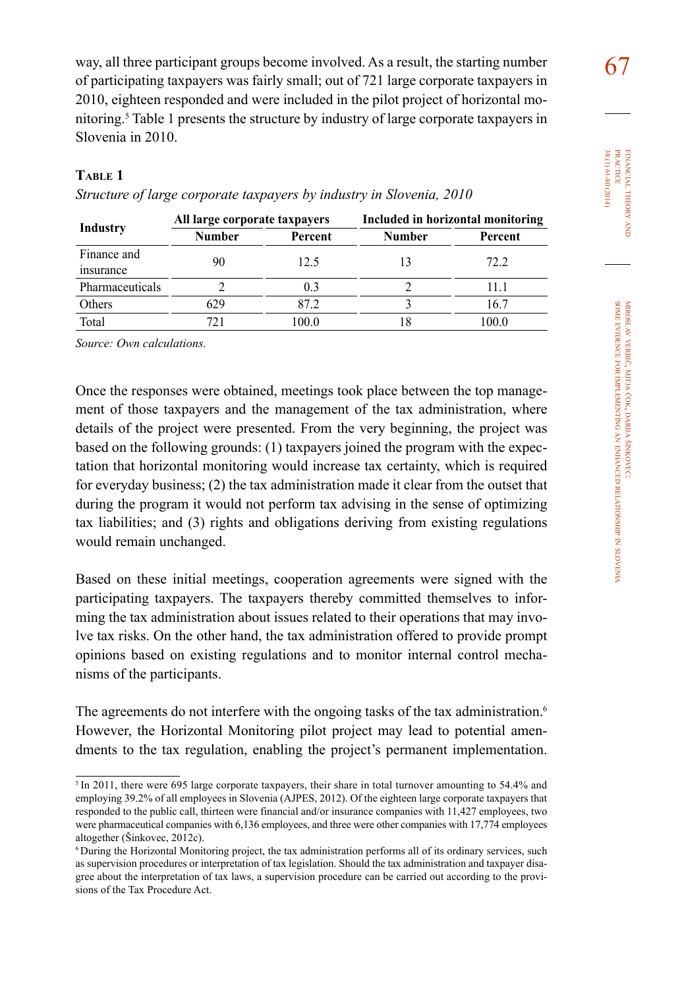way, all three participant groups become involved. As a result, the starting number  $\overline{67}$ of participating taxpayers was fairly small; out of 721 large corporate taxpayers in 2010, eighteen responded and were included in the pilot project of horizontal monitoring.<sup>5</sup> Table 1 presents the structure by industry of large corporate taxpayers in Slovenia in 2010.

## **table 1**

| Industry                 | All large corporate taxpayers |         | Included in horizontal monitoring |         |
|--------------------------|-------------------------------|---------|-----------------------------------|---------|
|                          | Number                        | Percent | <b>Number</b>                     | Percent |
| Finance and<br>insurance | 90                            | 12.5    |                                   | 72.2    |
| Pharmaceuticals          |                               | 0.3     |                                   | 11.1    |
| Others                   | 629                           | 87 2.   |                                   | 16.7    |
| Total                    | 721                           | 100.0   | 18                                | 100.0   |

*Structure of large corporate taxpayers by industry in Slovenia, 2010*

*Source: Own calculations.*

Once the responses were obtained, meetings took place between the top management of those taxpayers and the management of the tax administration, where details of the project were presented. From the very beginning, the project was based on the following grounds: (1) taxpayers joined the program with the expectation that horizontal monitoring would increase tax certainty, which is required for everyday business; (2) the tax administration made it clear from the outset that during the program it would not perform tax advising in the sense of optimizing tax liabilities; and (3) rights and obligations deriving from existing regulations would remain unchanged.

Based on these initial meetings, cooperation agreements were signed with the participating taxpayers. The taxpayers thereby committed themselves to informing the tax administration about issues related to their operations that may involve tax risks. On the other hand, the tax administration offered to provide prompt opinions based on existing regulations and to monitor internal control mechanisms of the participants.

The agreements do not interfere with the ongoing tasks of the tax administration.<sup>6</sup> However, the Horizontal Monitoring pilot project may lead to potential amendments to the tax regulation, enabling the project's permanent implementation.

<sup>&</sup>lt;sup>5</sup> In 2011, there were 695 large corporate taxpayers, their share in total turnover amounting to 54.4% and employing 39.2% of all employees in Slovenia (AJPES, 2012). Of the eighteen large corporate taxpayers that responded to the public call, thirteen were financial and/or insurance companies with 11,427 employees, two were pharmaceutical companies with 6,136 employees, and three were other companies with 17,774 employees altogether (Šinkovec, 2012c).

<sup>6</sup>During the Horizontal Monitoring project, the tax administration performs all of its ordinary services, such as supervision procedures or interpretation of tax legislation. Should the tax administration and taxpayer disagree about the interpretation of tax laws, a supervision procedure can be carried out according to the provisions of the Tax Procedure Act.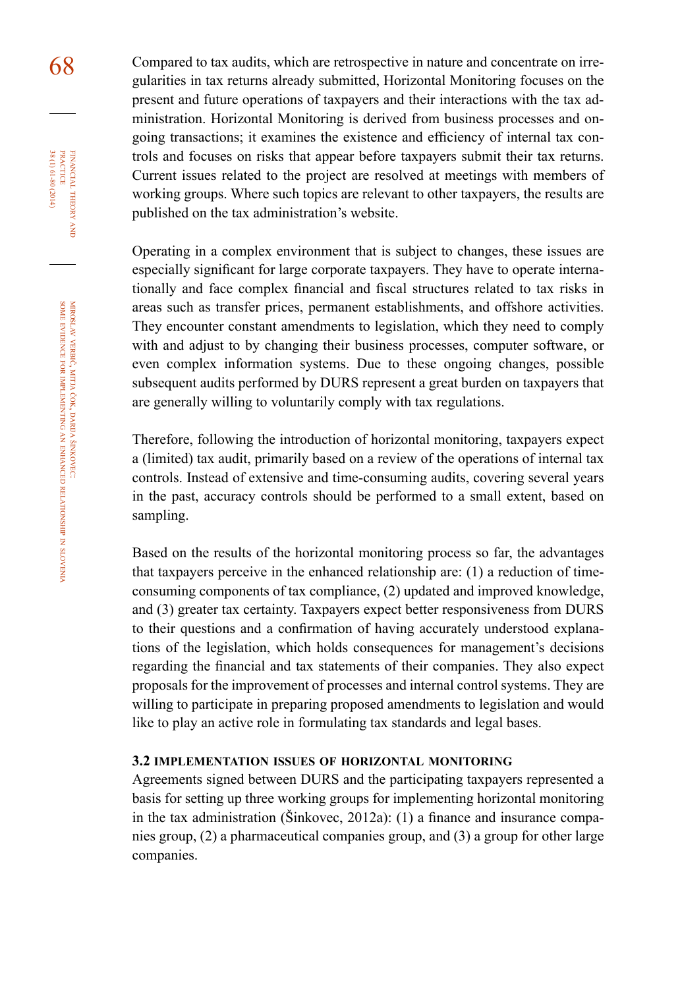68 Compared to tax audits, which are retrospective in nature and concentrate on irregularities in tax returns already submitted, Horizontal Monitoring focuses on the present and future operations of taxpayers and their interactions with the tax administration. Horizontal Monitoring is derived from business processes and ongoing transactions; it examines the existence and efficiency of internal tax controls and focuses on risks that appear before taxpayers submit their tax returns. Current issues related to the project are resolved at meetings with members of working groups. Where such topics are relevant to other taxpayers, the results are published on the tax administration's website.

> Operating in a complex environment that is subject to changes, these issues are especially significant for large corporate taxpayers. They have to operate internationally and face complex financial and fiscal structures related to tax risks in areas such as transfer prices, permanent establishments, and offshore activities. They encounter constant amendments to legislation, which they need to comply with and adjust to by changing their business processes, computer software, or even complex information systems. Due to these ongoing changes, possible subsequent audits performed by DURS represent a great burden on taxpayers that are generally willing to voluntarily comply with tax regulations.

> Therefore, following the introduction of horizontal monitoring, taxpayers expect a (limited) tax audit, primarily based on a review of the operations of internal tax controls. Instead of extensive and time-consuming audits, covering several years in the past, accuracy controls should be performed to a small extent, based on sampling.

> Based on the results of the horizontal monitoring process so far, the advantages that taxpayers perceive in the enhanced relationship are: (1) a reduction of timeconsuming components of tax compliance, (2) updated and improved knowledge, and (3) greater tax certainty. Taxpayers expect better responsiveness from DURS to their questions and a confirmation of having accurately understood explanations of the legislation, which holds consequences for management's decisions regarding the financial and tax statements of their companies. They also expect proposals for the improvement of processes and internal control systems. They are willing to participate in preparing proposed amendments to legislation and would like to play an active role in formulating tax standards and legal bases.

#### **3.2 implementation issues of horizontal monitoring**

Agreements signed between DURS and the participating taxpayers represented a basis for setting up three working groups for implementing horizontal monitoring in the tax administration (Šinkovec, 2012a): (1) a finance and insurance companies group, (2) a pharmaceutical companies group, and (3) a group for other large companies.

financial

FINANCIAL THEORY<br>PRACTICE 38 (1) 61-80 (2014)

38 (1) 61-80 (2014) practice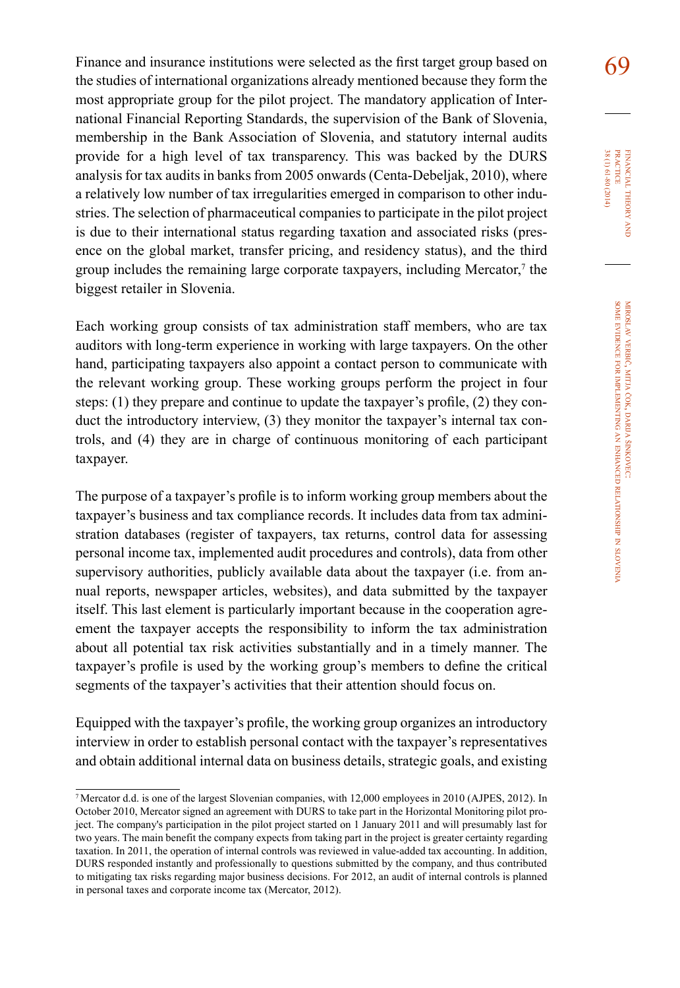Finance and insurance institutions were selected as the first target group based on  $69$ the studies of international organizations already mentioned because they form the most appropriate group for the pilot project. The mandatory application of International Financial Reporting Standards, the supervision of the Bank of Slovenia, membership in the Bank Association of Slovenia, and statutory internal audits provide for a high level of tax transparency. This was backed by the DURS analysis for tax audits in banks from 2005 onwards (Centa-Debeljak, 2010), where a relatively low number of tax irregularities emerged in comparison to other industries. The selection of pharmaceutical companies to participate in the pilot project is due to their international status regarding taxation and associated risks (presence on the global market, transfer pricing, and residency status), and the third group includes the remaining large corporate taxpayers, including Mercator, $\tau$  the biggest retailer in Slovenia.

Each working group consists of tax administration staff members, who are tax auditors with long-term experience in working with large taxpayers. On the other hand, participating taxpayers also appoint a contact person to communicate with the relevant working group. These working groups perform the project in four steps: (1) they prepare and continue to update the taxpayer's profile, (2) they conduct the introductory interview, (3) they monitor the taxpayer's internal tax controls, and (4) they are in charge of continuous monitoring of each participant taxpayer.

The purpose of a taxpayer's profile is to inform working group members about the taxpayer's business and tax compliance records. It includes data from tax administration databases (register of taxpayers, tax returns, control data for assessing personal income tax, implemented audit procedures and controls), data from other supervisory authorities, publicly available data about the taxpayer (i.e. from annual reports, newspaper articles, websites), and data submitted by the taxpayer itself. This last element is particularly important because in the cooperation agreement the taxpayer accepts the responsibility to inform the tax administration about all potential tax risk activities substantially and in a timely manner. The taxpayer's profile is used by the working group's members to define the critical segments of the taxpayer's activities that their attention should focus on.

Equipped with the taxpayer's profile, the working group organizes an introductory interview in order to establish personal contact with the taxpayer's representatives and obtain additional internal data on business details, strategic goals, and existing

<sup>7</sup>Mercator d.d. is one of the largest Slovenian companies, with 12,000 employees in 2010 (AJPES, 2012). In October 2010, Mercator signed an agreement with DURS to take part in the Horizontal Monitoring pilot project. The company's participation in the pilot project started on 1 January 2011 and will presumably last for two years. The main benefit the company expects from taking part in the project is greater certainty regarding taxation. In 2011, the operation of internal controls was reviewed in value-added tax accounting. In addition, DURS responded instantly and professionally to questions submitted by the company, and thus contributed to mitigating tax risks regarding major business decisions. For 2012, an audit of internal controls is planned in personal taxes and corporate income tax (Mercator, 2012).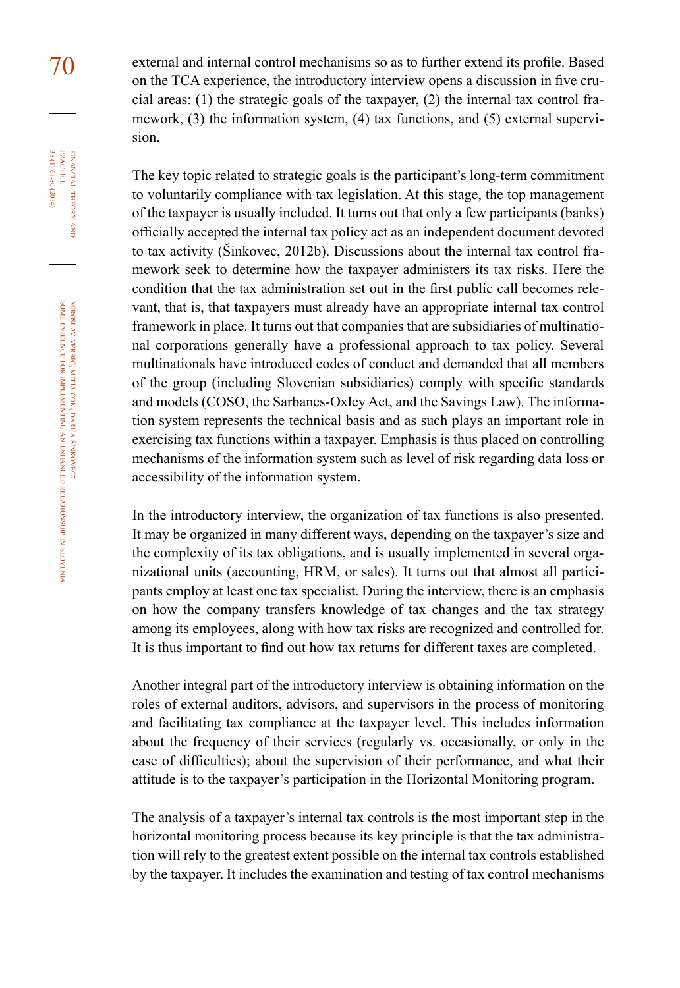70 external and internal control mechanisms so as to further extend its profile. Based on the TCA experience, the introductory interview opens a discussion in five crucial areas:  $(1)$  the strategic goals of the taxpayer,  $(2)$  the internal tax control framework, (3) the information system, (4) tax functions, and (5) external supervision.

> The key topic related to strategic goals is the participant's long-term commitment to voluntarily compliance with tax legislation. At this stage, the top management of the taxpayer is usually included. It turns out that only a few participants (banks) officially accepted the internal tax policy act as an independent document devoted to tax activity (Šinkovec, 2012b). Discussions about the internal tax control framework seek to determine how the taxpayer administers its tax risks. Here the condition that the tax administration set out in the first public call becomes relevant, that is, that taxpayers must already have an appropriate internal tax control framework in place. It turns out that companies that are subsidiaries of multinational corporations generally have a professional approach to tax policy. Several multinationals have introduced codes of conduct and demanded that all members of the group (including Slovenian subsidiaries) comply with specific standards and models (COSO, the Sarbanes-Oxley Act, and the Savings Law). The information system represents the technical basis and as such plays an important role in exercising tax functions within a taxpayer. Emphasis is thus placed on controlling mechanisms of the information system such as level of risk regarding data loss or accessibility of the information system.

> In the introductory interview, the organization of tax functions is also presented. It may be organized in many different ways, depending on the taxpayer's size and the complexity of its tax obligations, and is usually implemented in several organizational units (accounting, HRM, or sales). It turns out that almost all participants employ at least one tax specialist. During the interview, there is an emphasis on how the company transfers knowledge of tax changes and the tax strategy among its employees, along with how tax risks are recognized and controlled for. It is thus important to find out how tax returns for different taxes are completed.

> Another integral part of the introductory interview is obtaining information on the roles of external auditors, advisors, and supervisors in the process of monitoring and facilitating tax compliance at the taxpayer level. This includes information about the frequency of their services (regularly vs. occasionally, or only in the case of difficulties); about the supervision of their performance, and what their attitude is to the taxpayer's participation in the Horizontal Monitoring program.

> The analysis of a taxpayer's internal tax controls is the most important step in the horizontal monitoring process because its key principle is that the tax administration will rely to the greatest extent possible on the internal tax controls established by the taxpayer. It includes the examination and testing of tax control mechanisms

financial

FINANCIAL THEORY<br>PRACTICE 38 (1) 61-80 (2014)

38 (1) 61-80 (2014) practice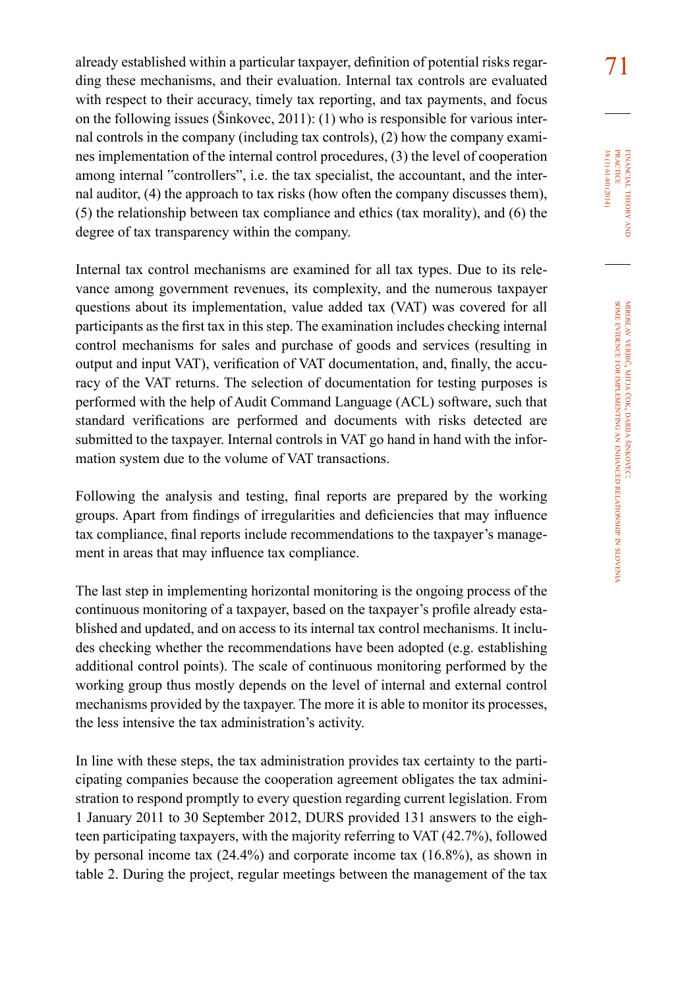already established within a particular taxpayer, definition of potential risks regar-<br>
7 ding these mechanisms, and their evaluation. Internal tax controls are evaluated with respect to their accuracy, timely tax reporting, and tax payments, and focus on the following issues (Šinkovec, 2011): (1) who is responsible for various internal controls in the company (including tax controls), (2) how the company examines implementation of the internal control procedures, (3) the level of cooperation among internal "controllers", i.e. the tax specialist, the accountant, and the internal auditor, (4) the approach to tax risks (how often the company discusses them), (5) the relationship between tax compliance and ethics (tax morality), and (6) the degree of tax transparency within the company.

Internal tax control mechanisms are examined for all tax types. Due to its relevance among government revenues, its complexity, and the numerous taxpayer questions about its implementation, value added tax (VAT) was covered for all participants as the first tax in this step. The examination includes checking internal control mechanisms for sales and purchase of goods and services (resulting in output and input VAT), verification of VAT documentation, and, finally, the accuracy of the VAT returns. The selection of documentation for testing purposes is performed with the help of Audit Command Language (ACL) software, such that standard verifications are performed and documents with risks detected are submitted to the taxpayer. Internal controls in VAT go hand in hand with the information system due to the volume of VAT transactions.

Following the analysis and testing, final reports are prepared by the working groups. Apart from findings of irregularities and deficiencies that may influence tax compliance, final reports include recommendations to the taxpayer's management in areas that may influence tax compliance.

The last step in implementing horizontal monitoring is the ongoing process of the continuous monitoring of a taxpayer, based on the taxpayer's profile already established and updated, and on access to its internal tax control mechanisms. It includes checking whether the recommendations have been adopted (e.g. establishing additional control points). The scale of continuous monitoring performed by the working group thus mostly depends on the level of internal and external control mechanisms provided by the taxpayer. The more it is able to monitor its processes, the less intensive the tax administration's activity.

In line with these steps, the tax administration provides tax certainty to the participating companies because the cooperation agreement obligates the tax administration to respond promptly to every question regarding current legislation. From 1 January 2011 to 30 September 2012, DURS provided 131 answers to the eighteen participating taxpayers, with the majority referring to VAT (42.7%), followed by personal income tax (24.4%) and corporate income tax (16.8%), as shown in table 2. During the project, regular meetings between the management of the tax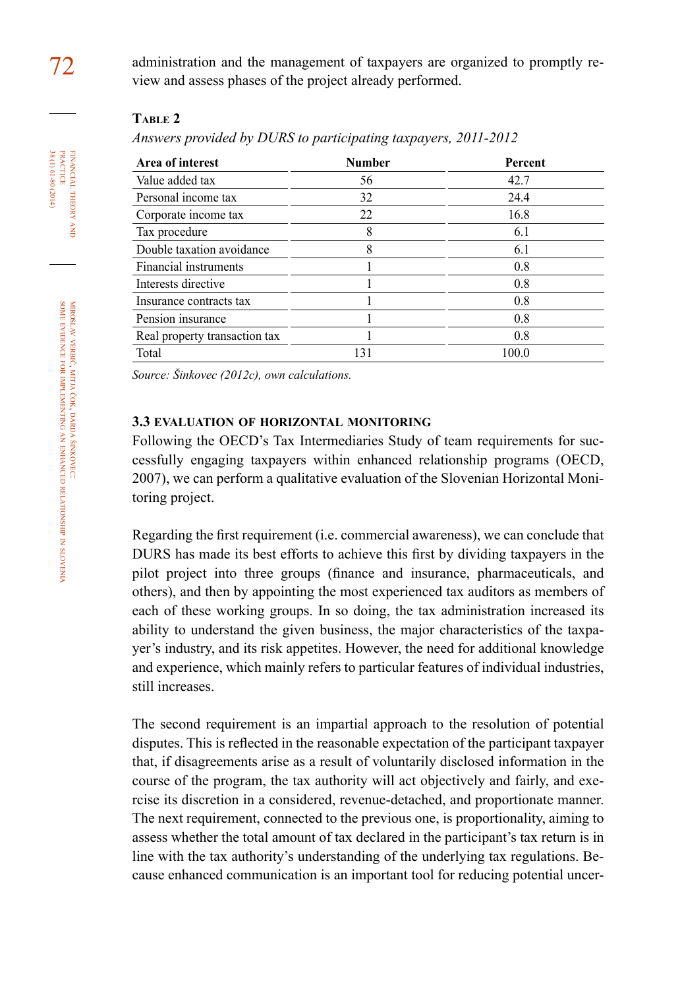## **table 2**

*Answers provided by DURS to participating taxpayers, 2011-2012*

| Area of interest              | <b>Number</b> | Percent |  |
|-------------------------------|---------------|---------|--|
| Value added tax               | 56            | 42.7    |  |
| Personal income tax           | 32            | 24.4    |  |
| Corporate income tax          | 22            | 16.8    |  |
| Tax procedure                 | 8             | 6.1     |  |
| Double taxation avoidance     | 8             | 6.1     |  |
| Financial instruments         |               | 0.8     |  |
| Interests directive           |               | 0.8     |  |
| Insurance contracts tax       |               | 0.8     |  |
| Pension insurance             |               | 0.8     |  |
| Real property transaction tax |               | 0.8     |  |
| Total                         | 131           | 100.0   |  |

*Source: Šinkovec (2012c), own calculations.*

### **3.3 evaluation of horizontal monitoring**

Following the OECD's Tax Intermediaries Study of team requirements for successfully engaging taxpayers within enhanced relationship programs (OECD, 2007), we can perform a qualitative evaluation of the Slovenian Horizontal Monitoring project.

Regarding the first requirement (i.e. commercial awareness), we can conclude that DURS has made its best efforts to achieve this first by dividing taxpayers in the pilot project into three groups (finance and insurance, pharmaceuticals, and others), and then by appointing the most experienced tax auditors as members of each of these working groups. In so doing, the tax administration increased its ability to understand the given business, the major characteristics of the taxpayer's industry, and its risk appetites. However, the need for additional knowledge and experience, which mainly refers to particular features of individual industries, still increases.

The second requirement is an impartial approach to the resolution of potential disputes. This is reflected in the reasonable expectation of the participant taxpayer that, if disagreements arise as a result of voluntarily disclosed information in the course of the program, the tax authority will act objectively and fairly, and exercise its discretion in a considered, revenue-detached, and proportionate manner. The next requirement, connected to the previous one, is proportionality, aiming to assess whether the total amount of tax declared in the participant's tax return is in line with the tax authority's understanding of the underlying tax regulations. Because enhanced communication is an important tool for reducing potential uncer-

FINANCIAL THEORY<br>PRACTICE 38 (1) 61-80 (2014) 38 (1) 61-80 (2014) practice financial theory and<br>T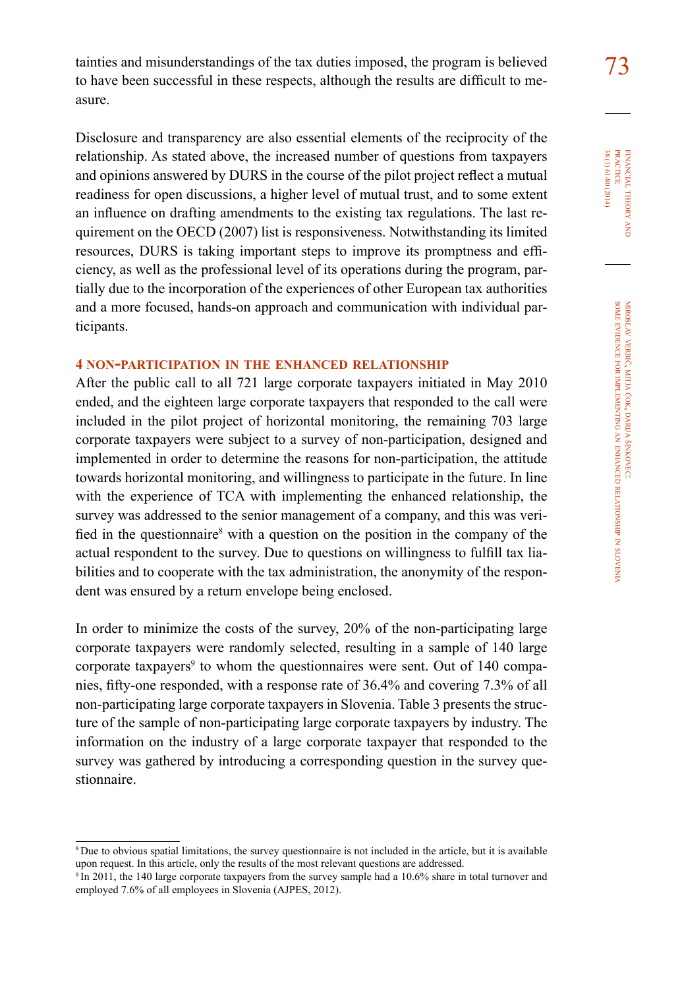tainties and misunderstandings of the tax duties imposed, the program is believed  $\frac{73}{2}$ to have been successful in these respects, although the results are difficult to measure.

Disclosure and transparency are also essential elements of the reciprocity of the relationship. As stated above, the increased number of questions from taxpayers and opinions answered by DURS in the course of the pilot project reflect a mutual readiness for open discussions, a higher level of mutual trust, and to some extent an influence on drafting amendments to the existing tax regulations. The last requirement on the OECD (2007) list is responsiveness. Notwithstanding its limited resources, DURS is taking important steps to improve its promptness and efficiency, as well as the professional level of its operations during the program, partially due to the incorporation of the experiences of other European tax authorities and a more focused, hands-on approach and communication with individual participants.

## **4 non-participation in the enhanced relationship**

After the public call to all 721 large corporate taxpayers initiated in May 2010 ended, and the eighteen large corporate taxpayers that responded to the call were included in the pilot project of horizontal monitoring, the remaining 703 large corporate taxpayers were subject to a survey of non-participation, designed and implemented in order to determine the reasons for non-participation, the attitude towards horizontal monitoring, and willingness to participate in the future. In line with the experience of TCA with implementing the enhanced relationship, the survey was addressed to the senior management of a company, and this was verified in the questionnaire<sup>8</sup> with a question on the position in the company of the actual respondent to the survey. Due to questions on willingness to fulfill tax liabilities and to cooperate with the tax administration, the anonymity of the respondent was ensured by a return envelope being enclosed.

In order to minimize the costs of the survey, 20% of the non-participating large corporate taxpayers were randomly selected, resulting in a sample of 140 large corporate taxpayers<sup>9</sup> to whom the questionnaires were sent. Out of 140 companies, fifty-one responded, with a response rate of 36.4% and covering 7.3% of all non-participating large corporate taxpayers in Slovenia. Table 3 presents the structure of the sample of non-participating large corporate taxpayers by industry. The information on the industry of a large corporate taxpayer that responded to the survey was gathered by introducing a corresponding question in the survey questionnaire.

<sup>8</sup>Due to obvious spatial limitations, the survey questionnaire is not included in the article, but it is available upon request. In this article, only the results of the most relevant questions are addressed.

<sup>&</sup>lt;sup>9</sup>In 2011, the 140 large corporate taxpayers from the survey sample had a 10.6% share in total turnover and employed 7.6% of all employees in Slovenia (AJPES, 2012).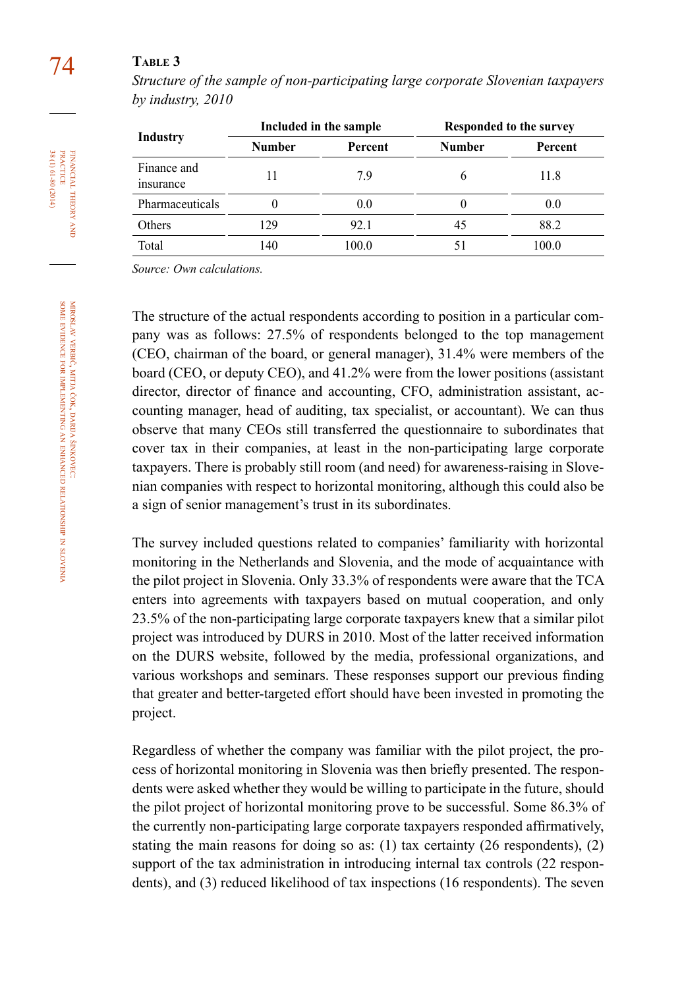# 74 **table 3**

*Structure of the sample of non-participating large corporate Slovenian taxpayers by industry, 2010*

| <b>Industry</b>          | Included in the sample |         | Responded to the survey |         |
|--------------------------|------------------------|---------|-------------------------|---------|
|                          | <b>Number</b>          | Percent | <b>Number</b>           | Percent |
| Finance and<br>insurance |                        | 79      | h                       | 11.8    |
| Pharmaceuticals          | 0                      | 0.0     | 0                       | 0.0     |
| Others                   | 129                    | 92.1    | 45                      | 88.2    |
| Total                    | 140                    | 100.0   |                         | 100.0   |

*Source: Own calculations.*

The structure of the actual respondents according to position in a particular company was as follows: 27.5% of respondents belonged to the top management (CEO, chairman of the board, or general manager), 31.4% were members of the board (CEO, or deputy CEO), and 41.2% were from the lower positions (assistant director, director of finance and accounting, CFO, administration assistant, accounting manager, head of auditing, tax specialist, or accountant). We can thus observe that many CEOs still transferred the questionnaire to subordinates that cover tax in their companies, at least in the non-participating large corporate taxpayers. There is probably still room (and need) for awareness-raising in Slovenian companies with respect to horizontal monitoring, although this could also be a sign of senior management's trust in its subordinates.

The survey included questions related to companies' familiarity with horizontal monitoring in the Netherlands and Slovenia, and the mode of acquaintance with the pilot project in Slovenia. Only 33.3% of respondents were aware that the TCA enters into agreements with taxpayers based on mutual cooperation, and only 23.5% of the non-participating large corporate taxpayers knew that a similar pilot project was introduced by DURS in 2010. Most of the latter received information on the DURS website, followed by the media, professional organizations, and various workshops and seminars. These responses support our previous finding that greater and better-targeted effort should have been invested in promoting the project.

Regardless of whether the company was familiar with the pilot project, the process of horizontal monitoring in Slovenia was then briefly presented. The respondents were asked whether they would be willing to participate in the future, should the pilot project of horizontal monitoring prove to be successful. Some 86.3% of the currently non-participating large corporate taxpayers responded affirmatively, stating the main reasons for doing so as:  $(1)$  tax certainty  $(26$  respondents),  $(2)$ support of the tax administration in introducing internal tax controls (22 respondents), and (3) reduced likelihood of tax inspections (16 respondents). The seven

financial

FINANCIAL THEORY<br>PRACTICE 38 (1) 61-80 (2014)

38 (1) 61-80 (2014) practice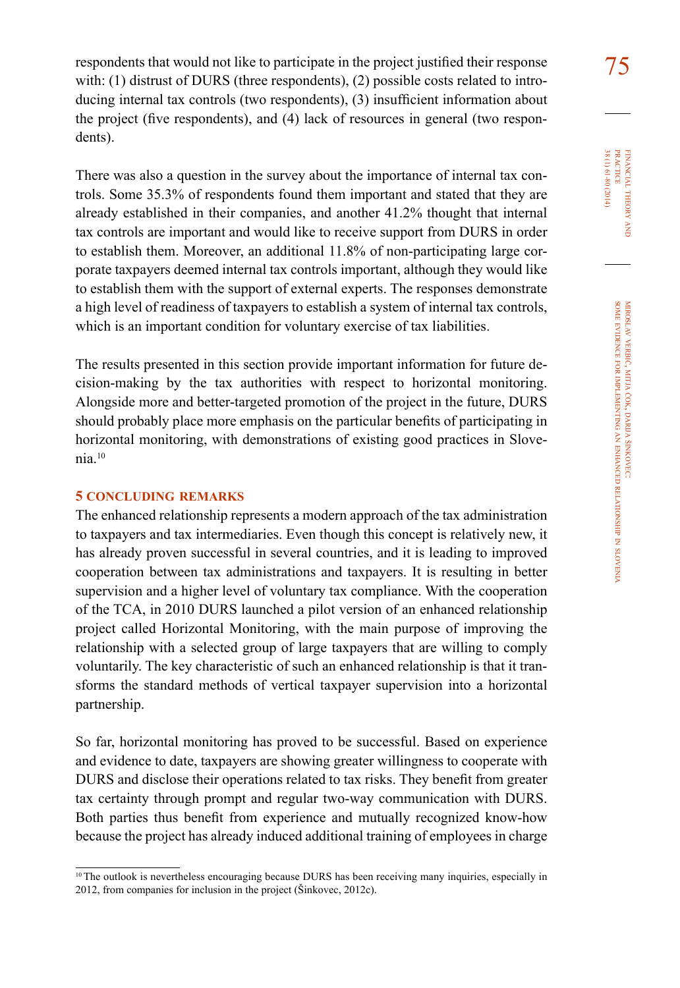respondents that would not like to participate in the project justified their response  $\frac{75}{10}$ with: (1) distrust of DURS (three respondents), (2) possible costs related to introducing internal tax controls (two respondents), (3) insufficient information about the project (five respondents), and (4) lack of resources in general (two respondents).

There was also a question in the survey about the importance of internal tax controls. Some 35.3% of respondents found them important and stated that they are already established in their companies, and another 41.2% thought that internal tax controls are important and would like to receive support from DURS in order to establish them. Moreover, an additional 11.8% of non-participating large corporate taxpayers deemed internal tax controls important, although they would like to establish them with the support of external experts. The responses demonstrate a high level of readiness of taxpayers to establish a system of internal tax controls, which is an important condition for voluntary exercise of tax liabilities.

The results presented in this section provide important information for future decision-making by the tax authorities with respect to horizontal monitoring. Alongside more and better-targeted promotion of the project in the future, DURS should probably place more emphasis on the particular benefits of participating in horizontal monitoring, with demonstrations of existing good practices in Slovenia.<sup>10</sup>

#### **5 concluding remarks**

The enhanced relationship represents a modern approach of the tax administration to taxpayers and tax intermediaries. Even though this concept is relatively new, it has already proven successful in several countries, and it is leading to improved cooperation between tax administrations and taxpayers. It is resulting in better supervision and a higher level of voluntary tax compliance. With the cooperation of the TCA, in 2010 DURS launched a pilot version of an enhanced relationship project called Horizontal Monitoring, with the main purpose of improving the relationship with a selected group of large taxpayers that are willing to comply voluntarily. The key characteristic of such an enhanced relationship is that it transforms the standard methods of vertical taxpayer supervision into a horizontal partnership.

So far, horizontal monitoring has proved to be successful. Based on experience and evidence to date, taxpayers are showing greater willingness to cooperate with DURS and disclose their operations related to tax risks. They benefit from greater tax certainty through prompt and regular two-way communication with DURS. Both parties thus benefit from experience and mutually recognized know-how because the project has already induced additional training of employees in charge

<sup>&</sup>lt;sup>10</sup>The outlook is nevertheless encouraging because DURS has been receiving many inquiries, especially in 2012, from companies for inclusion in the project (Šinkovec, 2012c).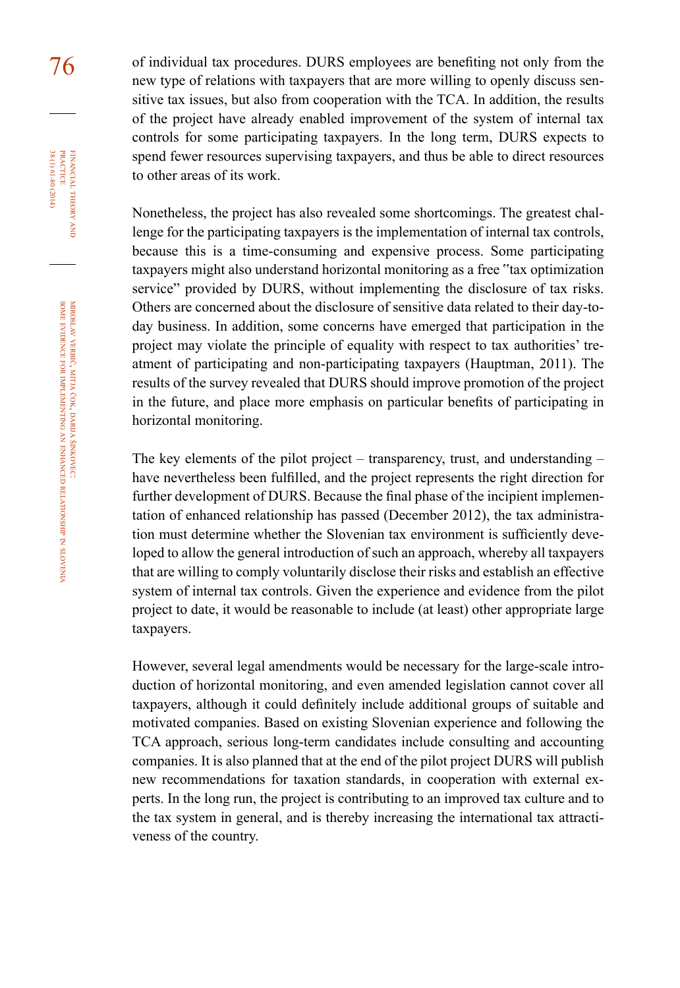76 of individual tax procedures. DURS employees are benefiting not only from the new type of relations with taxpayers that are more willing to openly discuss sensitive tax issues, but also from cooperation with the TCA. In addition, the results of the project have already enabled improvement of the system of internal tax controls for some participating taxpayers. In the long term, DURS expects to spend fewer resources supervising taxpayers, and thus be able to direct resources to other areas of its work.

> Nonetheless, the project has also revealed some shortcomings. The greatest challenge for the participating taxpayers is the implementation of internal tax controls, because this is a time-consuming and expensive process. Some participating taxpayers might also understand horizontal monitoring as a free "tax optimization service" provided by DURS, without implementing the disclosure of tax risks. Others are concerned about the disclosure of sensitive data related to their day-today business. In addition, some concerns have emerged that participation in the project may violate the principle of equality with respect to tax authorities' treatment of participating and non-participating taxpayers (Hauptman, 2011). The results of the survey revealed that DURS should improve promotion of the project in the future, and place more emphasis on particular benefits of participating in horizontal monitoring.

> The key elements of the pilot project – transparency, trust, and understanding – have nevertheless been fulfilled, and the project represents the right direction for further development of DURS. Because the final phase of the incipient implementation of enhanced relationship has passed (December 2012), the tax administration must determine whether the Slovenian tax environment is sufficiently developed to allow the general introduction of such an approach, whereby all taxpayers that are willing to comply voluntarily disclose their risks and establish an effective system of internal tax controls. Given the experience and evidence from the pilot project to date, it would be reasonable to include (at least) other appropriate large taxpayers.

> However, several legal amendments would be necessary for the large-scale introduction of horizontal monitoring, and even amended legislation cannot cover all taxpayers, although it could definitely include additional groups of suitable and motivated companies. Based on existing Slovenian experience and following the TCA approach, serious long-term candidates include consulting and accounting companies. It is also planned that at the end of the pilot project DURS will publish new recommendations for taxation standards, in cooperation with external experts. In the long run, the project is contributing to an improved tax culture and to the tax system in general, and is thereby increasing the international tax attractiveness of the country.

financial

FINANCIAL THEORY<br>PRACTICE 38 (1) 61-80 (2014)

38 (1) 61-80 (2014) practice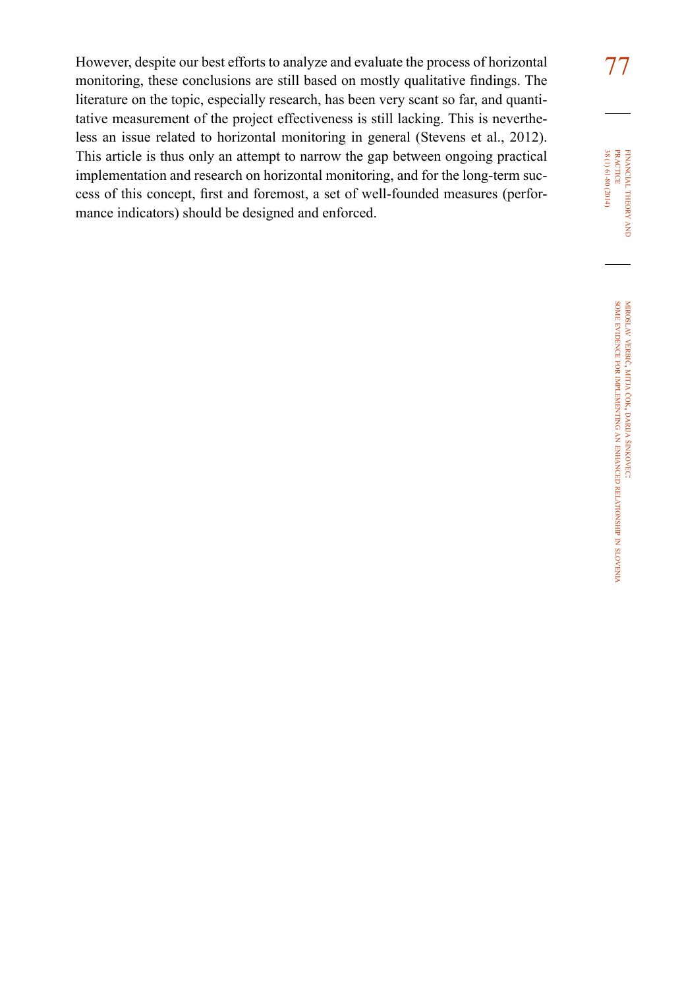77 However, despite our best efforts to analyze and evaluate the process of horizontal monitoring, these conclusions are still based on mostly qualitative findings. The literature on the topic, especially research, has been very scant so far, and quantitative measurement of the project effectiveness is still lacking. This is nevertheless an issue related to horizontal monitoring in general (Stevens et al., 2012). This article is thus only an attempt to narrow the gap between ongoing practical implementation and research on horizontal monitoring, and for the long-term success of this concept, first and foremost, a set of well-founded measures (performance indicators) should be designed and enforced.

FINANCIAL THEORY AND PRACTICE 38 (1) 61-80 (2014) 38 (1) 61-80 (2014) practice financial theory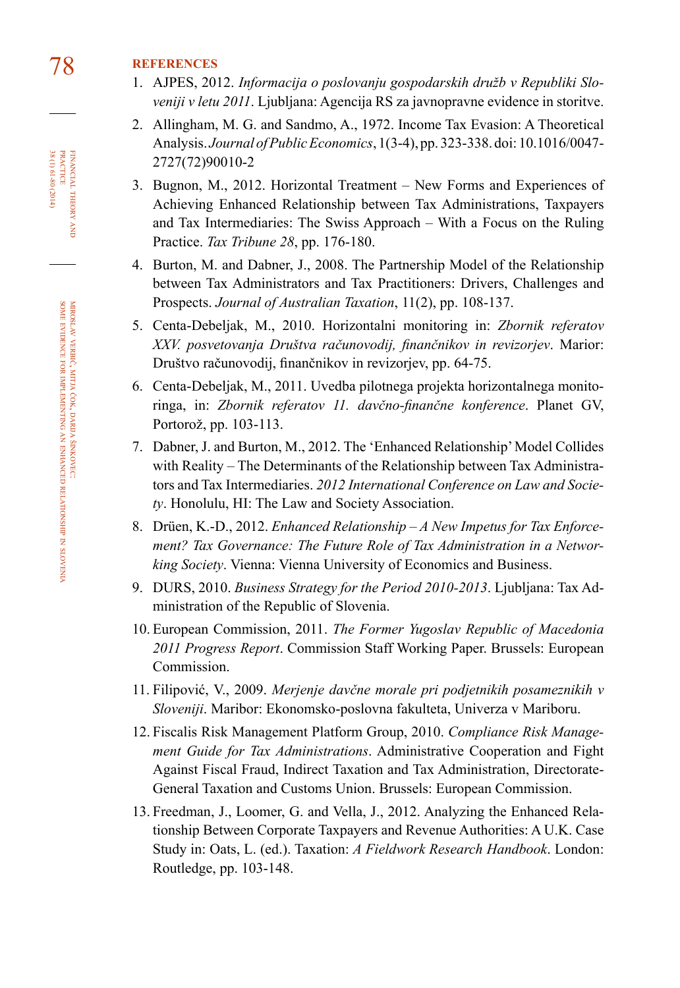# 78 **references**

- 1. AJPES, 2012. *Informacija o poslovanju gospodarskih družb v Republiki Sloveniji v letu 2011*. Ljubljana: Agencija RS za javnopravne evidence in storitve.
- 2. Allingham, M. G. and Sandmo, A., 1972. Income Tax Evasion: A Theoretical Analysis. *Journal of Public Economics*, 1(3-4), pp. 323-338. doi: 10.1016/0047- 2727(72)90010-2
- 3. Bugnon, M., 2012. Horizontal Treatment New Forms and Experiences of Achieving Enhanced Relationship between Tax Administrations, Taxpayers and Tax Intermediaries: The Swiss Approach – With a Focus on the Ruling Practice. *Tax Tribune 28*, pp. 176-180.
- 4. Burton, M. and Dabner, J., 2008. The Partnership Model of the Relationship between Tax Administrators and Tax Practitioners: Drivers, Challenges and Prospects. *Journal of Australian Taxation*, 11(2), pp. 108-137.
- 5. Centa-Debeljak, M., 2010. Horizontalni monitoring in: *Zbornik referatov XXV. posvetovanja Društva računovodij, finančnikov in revizorjev*. Marior: Društvo računovodij, finančnikov in revizorjev, pp. 64-75.
- 6. Centa-Debeljak, M., 2011. Uvedba pilotnega projekta horizontalnega monitoringa, in: *Zbornik referatov 11. davčno-finančne konference*. Planet GV, Portorož, pp. 103-113.
- 7. Dabner, J. and Burton, M., 2012. The 'Enhanced Relationship' Model Collides with Reality – The Determinants of the Relationship between Tax Administrators and Tax Intermediaries. *2012 International Conference on Law and Society*. Honolulu, HI: The Law and Society Association.
- 8. Drüen, K.-D., 2012. *Enhanced Relationship A New Impetus for Tax Enforcement? Tax Governance: The Future Role of Tax Administration in a Networking Society*. Vienna: Vienna University of Economics and Business.
- 9. DURS, 2010. *Business Strategy for the Period 2010-2013*. Ljubljana: Tax Administration of the Republic of Slovenia.
- 10. European Commission, 2011. *The Former Yugoslav Republic of Macedonia 2011 Progress Report*. Commission Staff Working Paper. Brussels: European Commission.
- 11. Filipović, V., 2009. *Merjenje davčne morale pri podjetnikih posameznikih v Sloveniji*. Maribor: Ekonomsko-poslovna fakulteta, Univerza v Mariboru.
- 12. Fiscalis Risk Management Platform Group, 2010. *Compliance Risk Management Guide for Tax Administrations*. Administrative Cooperation and Fight Against Fiscal Fraud, Indirect Taxation and Tax Administration, Directorate-General Taxation and Customs Union. Brussels: European Commission.
- 13. Freedman, J., Loomer, G. and Vella, J., 2012. Analyzing the Enhanced Relationship Between Corporate Taxpayers and Revenue Authorities: A U.K. Case Study in: Oats, L. (ed.). Taxation: *A Fieldwork Research Handbook*. London: Routledge, pp. 103-148.

FINANCIAL THEORY<br>PRACTICE 38 (1) 61-80 (2014) 38 (1) 61-80 (2014) practice financial theory and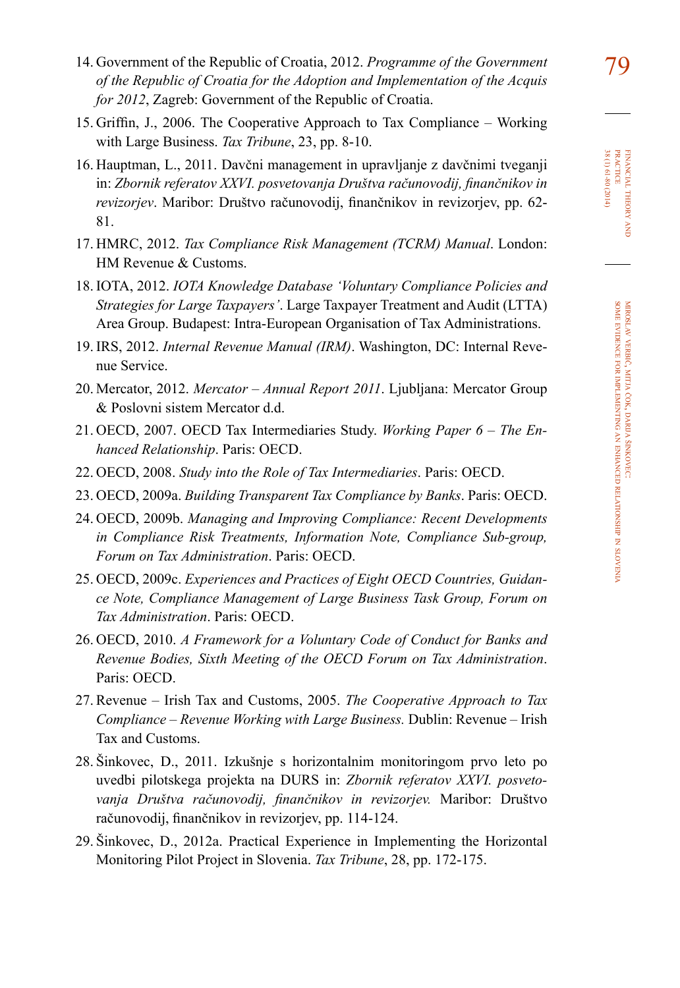- 79 14. Government of the Republic of Croatia, 2012. *Programme of the Government of the Republic of Croatia for the Adoption and Implementation of the Acquis for 2012*, Zagreb: Government of the Republic of Croatia.
- 15. Griffin, J., 2006. The Cooperative Approach to Tax Compliance Working with Large Business. *Tax Tribune*, 23, pp. 8-10.
- 16. Hauptman, L., 2011. Davčni management in upravljanje z davčnimi tveganji in: *Zbornik referatov XXVI. posvetovanja Društva računovodij, finančnikov in revizorjev*. Maribor: Društvo računovodij, finančnikov in revizorjev, pp. 62- 81.
- 17. HMRC, 2012. *Tax Compliance Risk Management (TCRM) Manual*. London: HM Revenue & Customs.
- 18. IOTA, 2012. *IOTA Knowledge Database 'Voluntary Compliance Policies and Strategies for Large Taxpayers'*. Large Taxpayer Treatment and Audit (LTTA) Area Group. Budapest: Intra-European Organisation of Tax Administrations.
- 19. IRS, 2012. *Internal Revenue Manual (IRM)*. Washington, DC: Internal Revenue Service.
- 20. Mercator, 2012. *Mercator Annual Report 2011*. Ljubljana: Mercator Group & Poslovni sistem Mercator d.d.
- 21. OECD, 2007. OECD Tax Intermediaries Study. *Working Paper 6 The Enhanced Relationship*. Paris: OECD.
- 22. OECD, 2008. *Study into the Role of Tax Intermediaries*. Paris: OECD.
- 23. OECD, 2009a. *Building Transparent Tax Compliance by Banks*. Paris: OECD.
- 24. OECD, 2009b. *Managing and Improving Compliance: Recent Developments in Compliance Risk Treatments, Information Note, Compliance Sub-group, Forum on Tax Administration*. Paris: OECD.
- 25. OECD, 2009c. *Experiences and Practices of Eight OECD Countries, Guidance Note, Compliance Management of Large Business Task Group, Forum on Tax Administration*. Paris: OECD.
- 26. OECD, 2010. *A Framework for a Voluntary Code of Conduct for Banks and Revenue Bodies, Sixth Meeting of the OECD Forum on Tax Administration*. Paris: OECD.
- 27. Revenue Irish Tax and Customs, 2005. *The Cooperative Approach to Tax Compliance – Revenue Working with Large Business.* Dublin: Revenue – Irish Tax and Customs.
- 28. Šinkovec, D., 2011. Izkušnje s horizontalnim monitoringom prvo leto po uvedbi pilotskega projekta na DURS in: *Zbornik referatov XXVI. posvetovanja Društva računovodij, finančnikov in revizorjev.* Maribor: Društvo računovodij, finančnikov in revizorjev, pp. 114-124.
- 29. Šinkovec, D., 2012a. Practical Experience in Implementing the Horizontal Monitoring Pilot Project in Slovenia. *Tax Tribune*, 28, pp. 172-175.